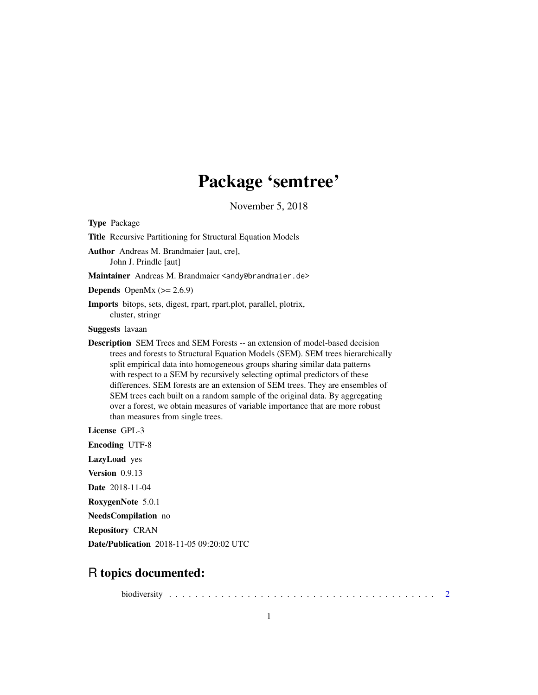## Package 'semtree'

November 5, 2018

<span id="page-0-0"></span>Type Package Title Recursive Partitioning for Structural Equation Models Author Andreas M. Brandmaier [aut, cre], John J. Prindle [aut] Maintainer Andreas M. Brandmaier <andy@brandmaier.de> **Depends** OpenMx  $(>= 2.6.9)$ Imports bitops, sets, digest, rpart, rpart.plot, parallel, plotrix, cluster, stringr Suggests lavaan Description SEM Trees and SEM Forests -- an extension of model-based decision trees and forests to Structural Equation Models (SEM). SEM trees hierarchically split empirical data into homogeneous groups sharing similar data patterns with respect to a SEM by recursively selecting optimal predictors of these differences. SEM forests are an extension of SEM trees. They are ensembles of SEM trees each built on a random sample of the original data. By aggregating over a forest, we obtain measures of variable importance that are more robust than measures from single trees. License GPL-3 Encoding UTF-8 LazyLoad yes Version 0.9.13 Date 2018-11-04 RoxygenNote 5.0.1 NeedsCompilation no Repository CRAN Date/Publication 2018-11-05 09:20:02 UTC

## R topics documented:

biodiversity . . . . . . . . . . . . . . . . . . . . . . . . . . . . . . . . . . . . . . . . . [2](#page-1-0)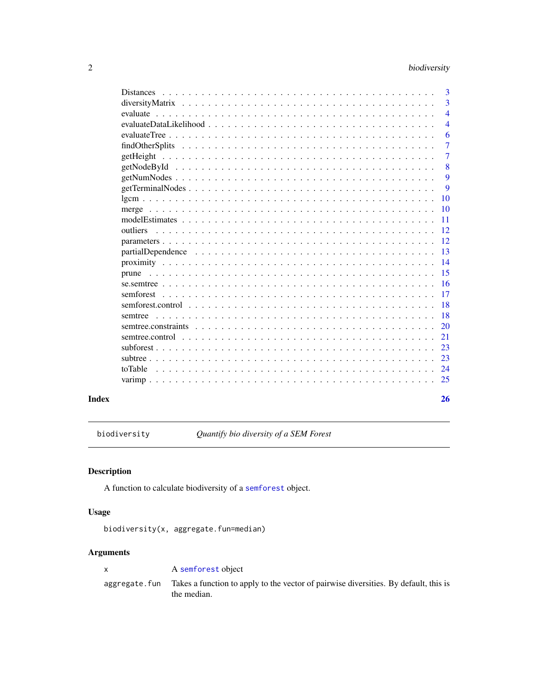<span id="page-1-0"></span>

|       |                                                                                                                                 | $\overline{3}$  |
|-------|---------------------------------------------------------------------------------------------------------------------------------|-----------------|
|       |                                                                                                                                 | 3               |
|       |                                                                                                                                 | $\overline{4}$  |
|       |                                                                                                                                 | $\overline{4}$  |
|       |                                                                                                                                 | 6               |
|       |                                                                                                                                 | $\overline{7}$  |
|       | getHeight                                                                                                                       | $\overline{7}$  |
|       |                                                                                                                                 | 8               |
|       | $getNumNodes \dots \dots \dots \dots \dots \dots \dots \dots \dots \dots \dots \dots \dots \dots \dots \dots \dots \dots$       | 9               |
|       |                                                                                                                                 | 9               |
|       |                                                                                                                                 | 10              |
|       |                                                                                                                                 | 10              |
|       |                                                                                                                                 | -11             |
|       |                                                                                                                                 | -12             |
|       |                                                                                                                                 | 12              |
|       | $partialDependence \dots \dots \dots \dots \dots \dots \dots \dots \dots \dots \dots \dots \dots \dots \dots \dots \dots \dots$ | 13              |
|       |                                                                                                                                 | $\overline{14}$ |
|       | prune                                                                                                                           | -15             |
|       |                                                                                                                                 | -16             |
|       |                                                                                                                                 | 17              |
|       |                                                                                                                                 | -18             |
|       |                                                                                                                                 | <b>18</b>       |
|       |                                                                                                                                 | <b>20</b>       |
|       |                                                                                                                                 | 21              |
|       |                                                                                                                                 | 23              |
|       |                                                                                                                                 | 23              |
|       |                                                                                                                                 | 24              |
|       |                                                                                                                                 | 25              |
| Index |                                                                                                                                 | 26              |

biodiversity *Quantify bio diversity of a SEM Forest*

## Description

A function to calculate biodiversity of a [semforest](#page-16-1) object.

## Usage

biodiversity(x, aggregate.fun=median)

| A semforest object                                                                                                 |
|--------------------------------------------------------------------------------------------------------------------|
| aggregate. fun Takes a function to apply to the vector of pairwise diversities. By default, this is<br>the median. |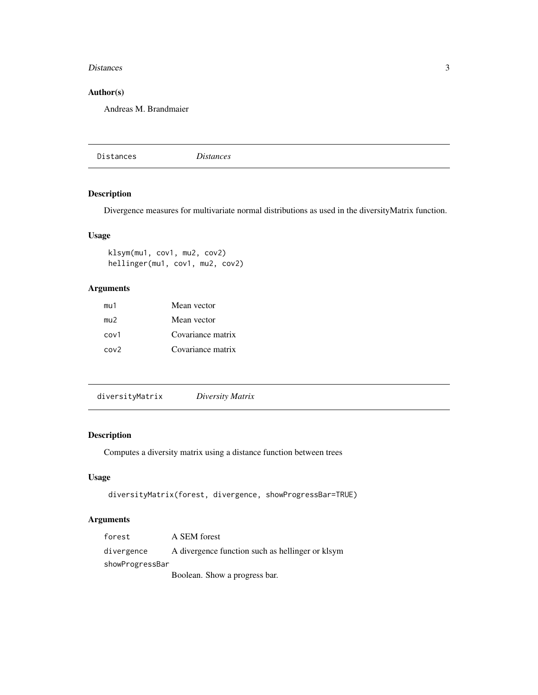#### <span id="page-2-0"></span>Distances 3

## Author(s)

Andreas M. Brandmaier

Distances *Distances*

## Description

Divergence measures for multivariate normal distributions as used in the diversityMatrix function.

## Usage

klsym(mu1, cov1, mu2, cov2) hellinger(mu1, cov1, mu2, cov2)

## Arguments

| mu1              | Mean vector       |
|------------------|-------------------|
| mu2              | Mean vector       |
| cov1             | Covariance matrix |
| cov <sub>2</sub> | Covariance matrix |

diversityMatrix *Diversity Matrix*

#### Description

Computes a diversity matrix using a distance function between trees

## Usage

```
diversityMatrix(forest, divergence, showProgressBar=TRUE)
```

| forest          | A SEM forest                                     |
|-----------------|--------------------------------------------------|
| divergence      | A divergence function such as hellinger or klsym |
| showProgressBar |                                                  |
|                 | Boolean. Show a progress bar.                    |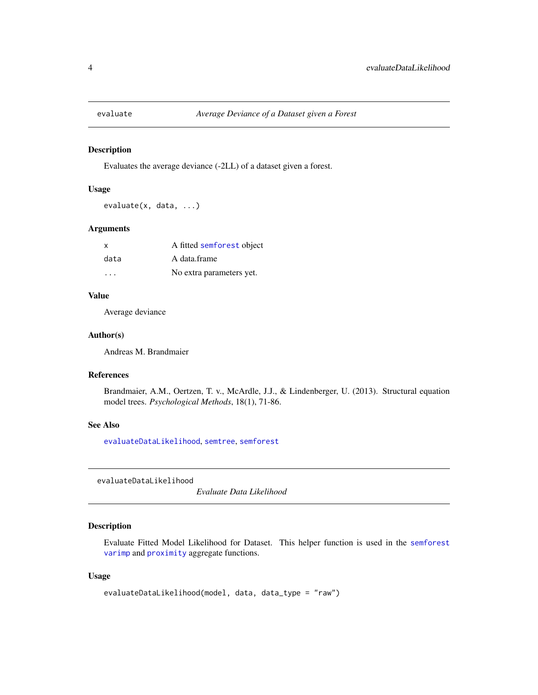<span id="page-3-0"></span>

Evaluates the average deviance (-2LL) of a dataset given a forest.

#### Usage

evaluate(x, data, ...)

## Arguments

| x                       | A fitted semforest object |
|-------------------------|---------------------------|
| data                    | A data.frame              |
| $\cdot$ $\cdot$ $\cdot$ | No extra parameters yet.  |

## Value

Average deviance

#### Author(s)

Andreas M. Brandmaier

#### References

Brandmaier, A.M., Oertzen, T. v., McArdle, J.J., & Lindenberger, U. (2013). Structural equation model trees. *Psychological Methods*, 18(1), 71-86.

## See Also

[evaluateDataLikelihood](#page-3-1), [semtree](#page-17-1), [semforest](#page-16-1)

<span id="page-3-1"></span>evaluateDataLikelihood

*Evaluate Data Likelihood*

## Description

Evaluate Fitted Model Likelihood for Dataset. This helper function is used in the [semforest](#page-16-1) [varimp](#page-24-1) and [proximity](#page-13-1) aggregate functions.

#### Usage

```
evaluateDataLikelihood(model, data, data_type = "raw")
```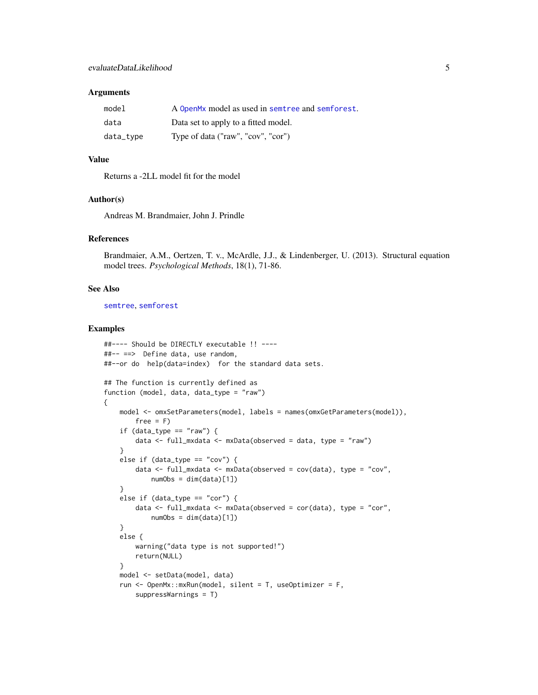#### <span id="page-4-0"></span>**Arguments**

| model     | A OpenMx model as used in semtree and semforest. |
|-----------|--------------------------------------------------|
| data      | Data set to apply to a fitted model.             |
| data_type | Type of data ("raw", "cov", "cor")               |

#### Value

Returns a -2LL model fit for the model

#### Author(s)

Andreas M. Brandmaier, John J. Prindle

#### References

Brandmaier, A.M., Oertzen, T. v., McArdle, J.J., & Lindenberger, U. (2013). Structural equation model trees. *Psychological Methods*, 18(1), 71-86.

## See Also

[semtree](#page-17-1), [semforest](#page-16-1)

#### Examples

```
##---- Should be DIRECTLY executable !! ----
##-- ==> Define data, use random,
##--or do help(data=index) for the standard data sets.
## The function is currently defined as
function (model, data, data_type = "raw")
{
   model <- omxSetParameters(model, labels = names(omxGetParameters(model)),
       free = Fif (data_type == "raw") {
       data <- full_mxdata <- mxData(observed = data, type = "raw")
    }
   else if (data_type == "cov") {
       data <- full_mxdata <- mxData(observed = cov(data), type = "cov",
           numObs = dim(data)[1])}
   else if (data_type == "cor") {
       data <- full_mxdata <- mxData(observed = cor(data), type = "cor",
           numObs = dim(data)[1])
    }
   else {
       warning("data type is not supported!")
       return(NULL)
    }
   model <- setData(model, data)
   run <- OpenMx::mxRun(model, silent = T, useOptimizer = F,
       suppressWarnings = T)
```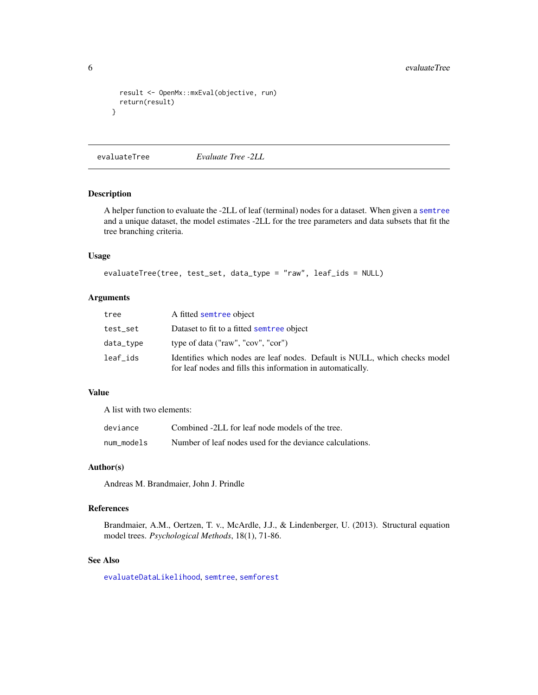```
result <- OpenMx::mxEval(objective, run)
 return(result)
}
```
<span id="page-5-1"></span>evaluateTree *Evaluate Tree -2LL*

## Description

A helper function to evaluate the -2LL of leaf (terminal) nodes for a dataset. When given a [semtree](#page-17-1) and a unique dataset, the model estimates -2LL for the tree parameters and data subsets that fit the tree branching criteria.

## Usage

```
evaluateTree(tree, test_set, data_type = "raw", leaf_ids = NULL)
```
## Arguments

| tree      | A fitted semtree object                                                                                                                   |
|-----------|-------------------------------------------------------------------------------------------------------------------------------------------|
| test_set  | Dataset to fit to a fitted semtree object                                                                                                 |
| data_type | type of data ("raw", "cov", "cor")                                                                                                        |
| leaf_ids  | Identifies which nodes are leaf nodes. Default is NULL, which checks model<br>for leaf nodes and fills this information in automatically. |

## Value

A list with two elements:

| deviance   | Combined -2LL for leaf node models of the tree.          |
|------------|----------------------------------------------------------|
| num models | Number of leaf nodes used for the deviance calculations. |

#### Author(s)

Andreas M. Brandmaier, John J. Prindle

#### References

Brandmaier, A.M., Oertzen, T. v., McArdle, J.J., & Lindenberger, U. (2013). Structural equation model trees. *Psychological Methods*, 18(1), 71-86.

## See Also

[evaluateDataLikelihood](#page-3-1), [semtree](#page-17-1), [semforest](#page-16-1)

<span id="page-5-0"></span>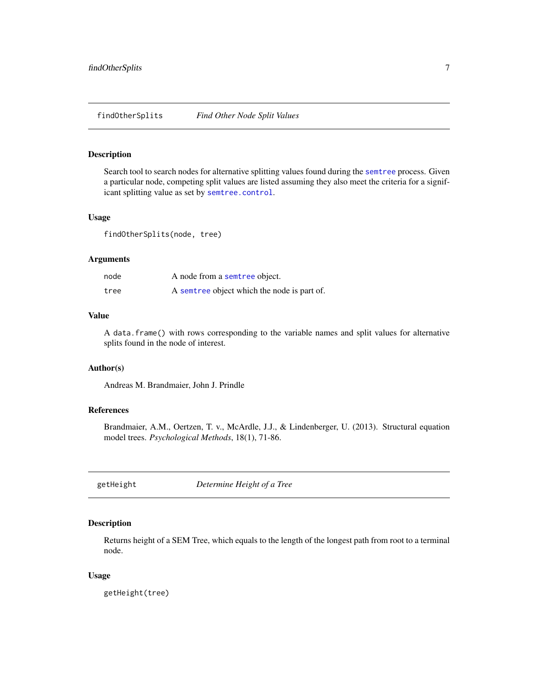<span id="page-6-0"></span>Search tool to search nodes for alternative splitting values found during the [semtree](#page-17-1) process. Given a particular node, competing split values are listed assuming they also meet the criteria for a significant splitting value as set by [semtree.control](#page-20-1).

#### Usage

findOtherSplits(node, tree)

#### Arguments

| node | A node from a semtree object.               |
|------|---------------------------------------------|
| tree | A semtree object which the node is part of. |

## Value

A data.frame() with rows corresponding to the variable names and split values for alternative splits found in the node of interest.

## Author(s)

Andreas M. Brandmaier, John J. Prindle

## References

Brandmaier, A.M., Oertzen, T. v., McArdle, J.J., & Lindenberger, U. (2013). Structural equation model trees. *Psychological Methods*, 18(1), 71-86.

getHeight *Determine Height of a Tree*

#### Description

Returns height of a SEM Tree, which equals to the length of the longest path from root to a terminal node.

#### Usage

getHeight(tree)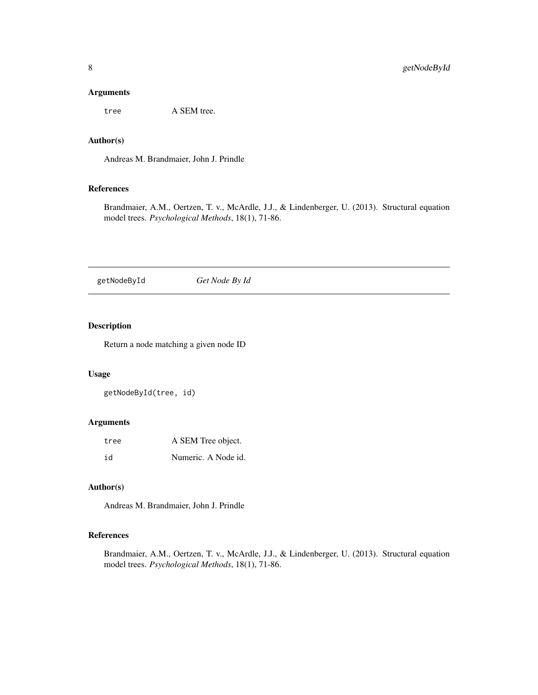## <span id="page-7-0"></span>Arguments

tree A SEM tree.

## Author(s)

Andreas M. Brandmaier, John J. Prindle

## References

Brandmaier, A.M., Oertzen, T. v., McArdle, J.J., & Lindenberger, U. (2013). Structural equation model trees. *Psychological Methods*, 18(1), 71-86.

getNodeById *Get Node By Id*

## Description

Return a node matching a given node ID

## Usage

getNodeById(tree, id)

### Arguments

| tree | A SEM Tree object.  |
|------|---------------------|
| id   | Numeric. A Node id. |

## Author(s)

Andreas M. Brandmaier, John J. Prindle

## References

Brandmaier, A.M., Oertzen, T. v., McArdle, J.J., & Lindenberger, U. (2013). Structural equation model trees. *Psychological Methods*, 18(1), 71-86.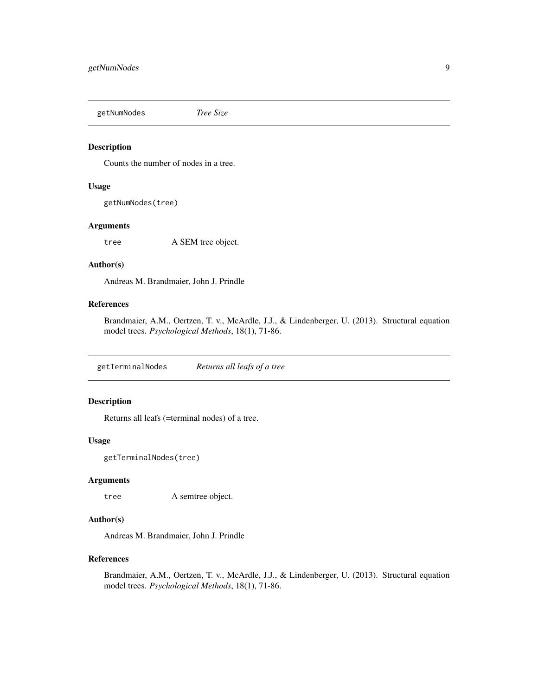<span id="page-8-0"></span>getNumNodes *Tree Size*

#### Description

Counts the number of nodes in a tree.

#### Usage

getNumNodes(tree)

#### Arguments

tree A SEM tree object.

## Author(s)

Andreas M. Brandmaier, John J. Prindle

## References

Brandmaier, A.M., Oertzen, T. v., McArdle, J.J., & Lindenberger, U. (2013). Structural equation model trees. *Psychological Methods*, 18(1), 71-86.

getTerminalNodes *Returns all leafs of a tree*

## Description

Returns all leafs (=terminal nodes) of a tree.

#### Usage

getTerminalNodes(tree)

## Arguments

tree A semtree object.

#### Author(s)

Andreas M. Brandmaier, John J. Prindle

#### References

Brandmaier, A.M., Oertzen, T. v., McArdle, J.J., & Lindenberger, U. (2013). Structural equation model trees. *Psychological Methods*, 18(1), 71-86.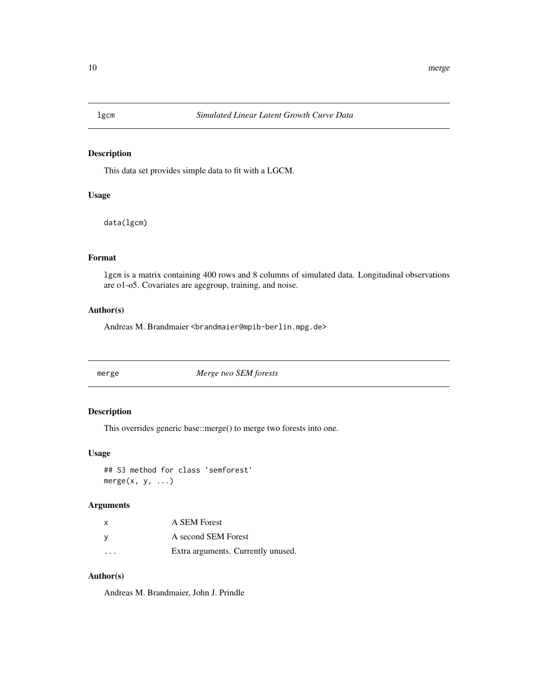<span id="page-9-0"></span>

This data set provides simple data to fit with a LGCM.

## Usage

data(lgcm)

## Format

lgcm is a matrix containing 400 rows and 8 columns of simulated data. Longitudinal observations are o1-o5. Covariates are agegroup, training, and noise.

## Author(s)

Andreas M. Brandmaier <brandmaier@mpib-berlin.mpg.de>

merge *Merge two SEM forests*

## Description

This overrides generic base::merge() to merge two forests into one.

## Usage

## S3 method for class 'semforest'  $merge(x, y, ...)$ 

## Arguments

| x                       | A SEM Forest                       |
|-------------------------|------------------------------------|
| ٧                       | A second SEM Forest                |
| $\cdot$ $\cdot$ $\cdot$ | Extra arguments. Currently unused. |

## Author(s)

Andreas M. Brandmaier, John J. Prindle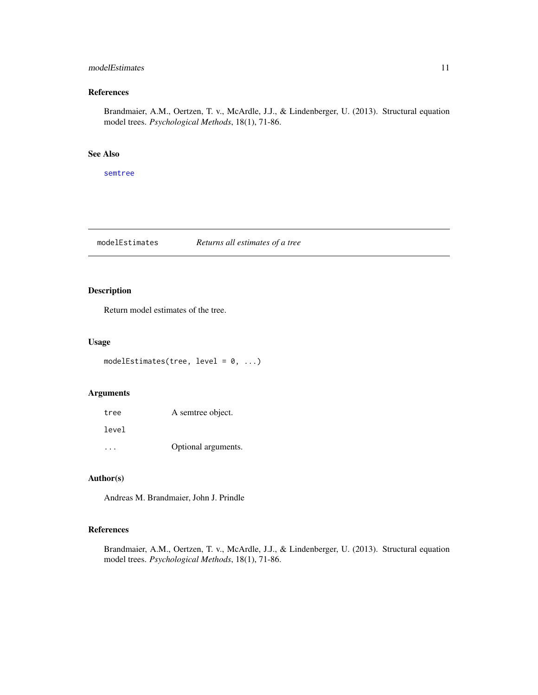## <span id="page-10-0"></span>modelEstimates 11

## References

Brandmaier, A.M., Oertzen, T. v., McArdle, J.J., & Lindenberger, U. (2013). Structural equation model trees. *Psychological Methods*, 18(1), 71-86.

## See Also

[semtree](#page-17-1)

modelEstimates *Returns all estimates of a tree*

## Description

Return model estimates of the tree.

## Usage

```
modelEstimates(tree, level = 0, ...)
```
#### Arguments

| tree  | A semtree object.   |
|-------|---------------------|
| level |                     |
|       | Optional arguments. |

## Author(s)

Andreas M. Brandmaier, John J. Prindle

## References

Brandmaier, A.M., Oertzen, T. v., McArdle, J.J., & Lindenberger, U. (2013). Structural equation model trees. *Psychological Methods*, 18(1), 71-86.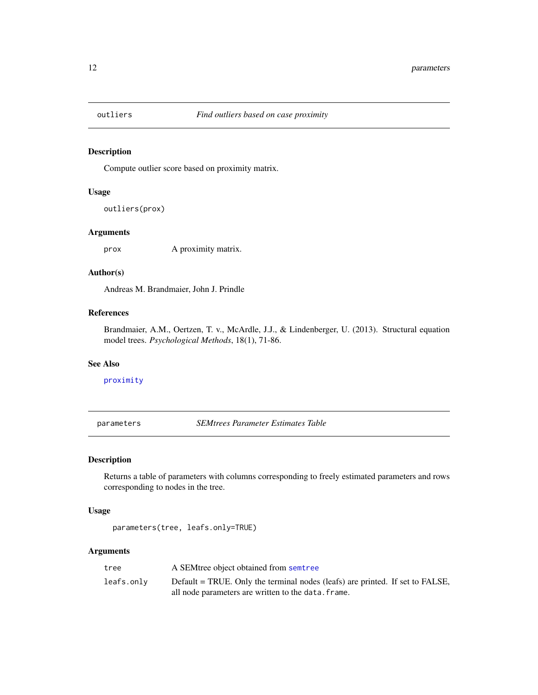<span id="page-11-0"></span>

Compute outlier score based on proximity matrix.

## Usage

outliers(prox)

## Arguments

prox A proximity matrix.

#### Author(s)

Andreas M. Brandmaier, John J. Prindle

## References

Brandmaier, A.M., Oertzen, T. v., McArdle, J.J., & Lindenberger, U. (2013). Structural equation model trees. *Psychological Methods*, 18(1), 71-86.

#### See Also

[proximity](#page-13-1)

<span id="page-11-1"></span>parameters *SEMtrees Parameter Estimates Table*

## Description

Returns a table of parameters with columns corresponding to freely estimated parameters and rows corresponding to nodes in the tree.

#### Usage

parameters(tree, leafs.only=TRUE)

| tree       | A SEM tree object obtained from semitree                                                                                             |
|------------|--------------------------------------------------------------------------------------------------------------------------------------|
| leafs.only | Default = TRUE. Only the terminal nodes (leafs) are printed. If set to FALSE,<br>all node parameters are written to the data. frame. |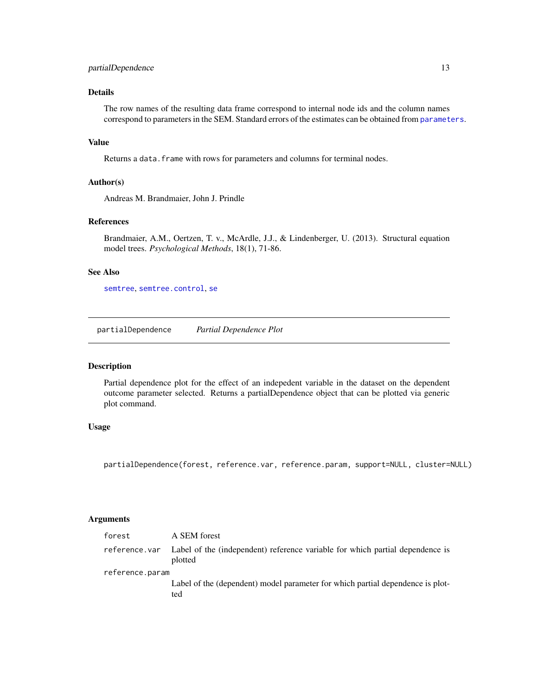## <span id="page-12-0"></span>partialDependence 13

## Details

The row names of the resulting data frame correspond to internal node ids and the column names correspond to parameters in the SEM. Standard errors of the estimates can be obtained from [parameters](#page-11-1).

## Value

Returns a data. frame with rows for parameters and columns for terminal nodes.

#### Author(s)

Andreas M. Brandmaier, John J. Prindle

## References

Brandmaier, A.M., Oertzen, T. v., McArdle, J.J., & Lindenberger, U. (2013). Structural equation model trees. *Psychological Methods*, 18(1), 71-86.

## See Also

[semtree](#page-17-1), [semtree.control](#page-20-1), [se](#page-15-1)

partialDependence *Partial Dependence Plot*

## Description

Partial dependence plot for the effect of an indepedent variable in the dataset on the dependent outcome parameter selected. Returns a partialDependence object that can be plotted via generic plot command.

#### Usage

partialDependence(forest, reference.var, reference.param, support=NULL, cluster=NULL)

| forest          | A SEM forest                                                                             |
|-----------------|------------------------------------------------------------------------------------------|
| reference.var   | Label of the (independent) reference variable for which partial dependence is<br>plotted |
| reference.param |                                                                                          |
|                 | Label of the (dependent) model parameter for which partial dependence is plot-<br>ted    |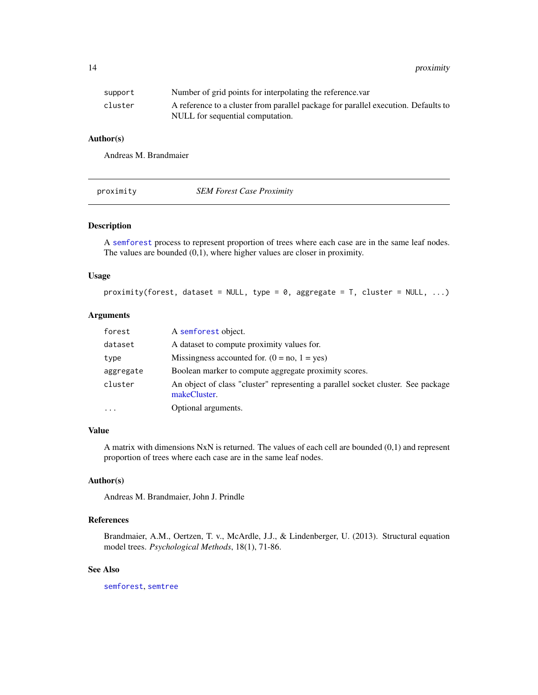<span id="page-13-0"></span>14 proximity

| support | Number of grid points for interpolating the reference var                                                              |
|---------|------------------------------------------------------------------------------------------------------------------------|
| cluster | A reference to a cluster from parallel package for parallel execution. Defaults to<br>NULL for sequential computation. |

#### Author(s)

Andreas M. Brandmaier

<span id="page-13-1"></span>

| proximity | <b>SEM Forest Case Proximity</b> |  |
|-----------|----------------------------------|--|
|-----------|----------------------------------|--|

## Description

A [semforest](#page-16-1) process to represent proportion of trees where each case are in the same leaf nodes. The values are bounded (0,1), where higher values are closer in proximity.

#### Usage

```
proximity(forest, dataset = NULL, type = 0, aggregate = T, cluster = NULL, ...)
```
## Arguments

| forest    | A semforest object.                                                                              |
|-----------|--------------------------------------------------------------------------------------------------|
| dataset   | A dataset to compute proximity values for.                                                       |
| type      | Missingness accounted for. $(0 = no, 1 = yes)$                                                   |
| aggregate | Boolean marker to compute aggregate proximity scores.                                            |
| cluster   | An object of class "cluster" representing a parallel socket cluster. See package<br>makeCluster. |
| $\cdots$  | Optional arguments.                                                                              |

#### Value

A matrix with dimensions NxN is returned. The values of each cell are bounded (0,1) and represent proportion of trees where each case are in the same leaf nodes.

#### Author(s)

Andreas M. Brandmaier, John J. Prindle

## References

Brandmaier, A.M., Oertzen, T. v., McArdle, J.J., & Lindenberger, U. (2013). Structural equation model trees. *Psychological Methods*, 18(1), 71-86.

## See Also

[semforest](#page-16-1), [semtree](#page-17-1)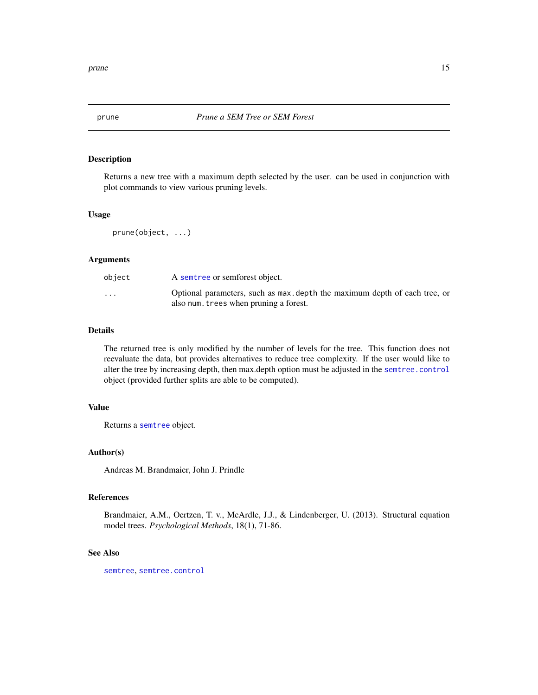<span id="page-14-1"></span><span id="page-14-0"></span>

Returns a new tree with a maximum depth selected by the user. can be used in conjunction with plot commands to view various pruning levels.

#### Usage

prune(object, ...)

## Arguments

| object                  | A semble or semforest object.                                                                                        |
|-------------------------|----------------------------------------------------------------------------------------------------------------------|
| $\cdot$ $\cdot$ $\cdot$ | Optional parameters, such as max, depth the maximum depth of each tree, or<br>also num. trees when pruning a forest. |

## Details

The returned tree is only modified by the number of levels for the tree. This function does not reevaluate the data, but provides alternatives to reduce tree complexity. If the user would like to alter the tree by increasing depth, then max.depth option must be adjusted in the [semtree.control](#page-20-1) object (provided further splits are able to be computed).

#### Value

Returns a [semtree](#page-17-1) object.

#### Author(s)

Andreas M. Brandmaier, John J. Prindle

#### References

Brandmaier, A.M., Oertzen, T. v., McArdle, J.J., & Lindenberger, U. (2013). Structural equation model trees. *Psychological Methods*, 18(1), 71-86.

### See Also

[semtree](#page-17-1), [semtree.control](#page-20-1)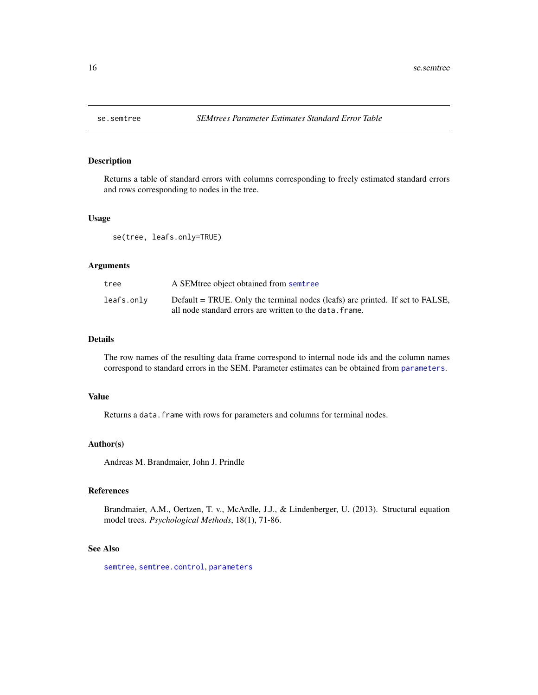<span id="page-15-1"></span><span id="page-15-0"></span>

Returns a table of standard errors with columns corresponding to freely estimated standard errors and rows corresponding to nodes in the tree.

## Usage

se(tree, leafs.only=TRUE)

## Arguments

| tree       | A SEM tree object obtained from semitree                                                                                                  |
|------------|-------------------------------------------------------------------------------------------------------------------------------------------|
| leafs.only | Default = TRUE. Only the terminal nodes (leafs) are printed. If set to FALSE,<br>all node standard errors are written to the data. frame. |

## Details

The row names of the resulting data frame correspond to internal node ids and the column names correspond to standard errors in the SEM. Parameter estimates can be obtained from [parameters](#page-11-1).

#### Value

Returns a data. frame with rows for parameters and columns for terminal nodes.

## Author(s)

Andreas M. Brandmaier, John J. Prindle

#### References

Brandmaier, A.M., Oertzen, T. v., McArdle, J.J., & Lindenberger, U. (2013). Structural equation model trees. *Psychological Methods*, 18(1), 71-86.

#### See Also

[semtree](#page-17-1), [semtree.control](#page-20-1), [parameters](#page-11-1)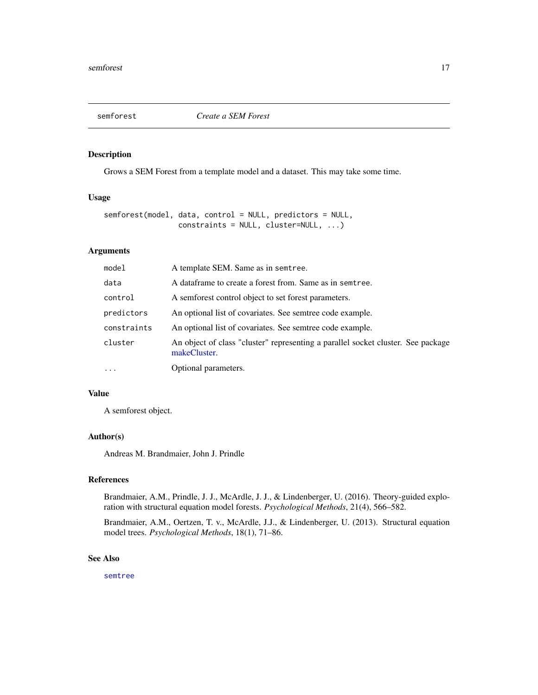<span id="page-16-1"></span><span id="page-16-0"></span>

Grows a SEM Forest from a template model and a dataset. This may take some time.

## Usage

```
semforest(model, data, control = NULL, predictors = NULL,
                constraints = NULL, cluster=NULL, ...)
```
## Arguments

| model       | A template SEM. Same as in semtree.                                                              |
|-------------|--------------------------------------------------------------------------------------------------|
| data        | A dataframe to create a forest from. Same as in semtree.                                         |
| control     | A semforest control object to set forest parameters.                                             |
| predictors  | An optional list of covariates. See semtree code example.                                        |
| constraints | An optional list of covariates. See semtree code example.                                        |
| cluster     | An object of class "cluster" representing a parallel socket cluster. See package<br>makeCluster. |
| $\ddots$    | Optional parameters.                                                                             |

## Value

A semforest object.

#### Author(s)

Andreas M. Brandmaier, John J. Prindle

#### References

Brandmaier, A.M., Prindle, J. J., McArdle, J. J., & Lindenberger, U. (2016). Theory-guided exploration with structural equation model forests. *Psychological Methods*, 21(4), 566–582.

Brandmaier, A.M., Oertzen, T. v., McArdle, J.J., & Lindenberger, U. (2013). Structural equation model trees. *Psychological Methods*, 18(1), 71–86.

#### See Also

[semtree](#page-17-1)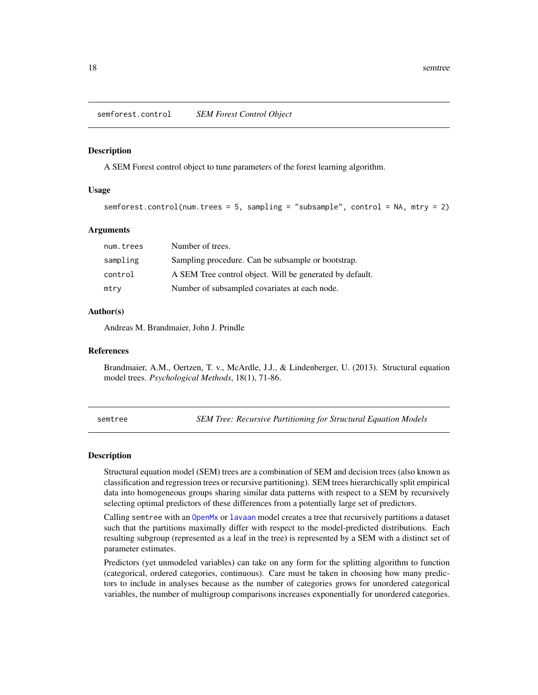<span id="page-17-0"></span>semforest.control *SEM Forest Control Object*

#### **Description**

A SEM Forest control object to tune parameters of the forest learning algorithm.

#### Usage

```
semforest.control(num.trees = 5, sampling = "subsample", control = NA, mtry = 2)
```
#### Arguments

| num.trees | Number of trees.                                         |
|-----------|----------------------------------------------------------|
| sampling  | Sampling procedure. Can be subsample or bootstrap.       |
| control   | A SEM Tree control object. Will be generated by default. |
| mtry      | Number of subsampled covariates at each node.            |

#### Author(s)

Andreas M. Brandmaier, John J. Prindle

#### References

Brandmaier, A.M., Oertzen, T. v., McArdle, J.J., & Lindenberger, U. (2013). Structural equation model trees. *Psychological Methods*, 18(1), 71-86.

<span id="page-17-1"></span>semtree *SEM Tree: Recursive Partitioning for Structural Equation Models*

#### <span id="page-17-2"></span>Description

Structural equation model (SEM) trees are a combination of SEM and decision trees (also known as classification and regression trees or recursive partitioning). SEM trees hierarchically split empirical data into homogeneous groups sharing similar data patterns with respect to a SEM by recursively selecting optimal predictors of these differences from a potentially large set of predictors.

Calling semtree with an [OpenMx](#page-0-0) or [lavaan](#page-0-0) model creates a tree that recursively partitions a dataset such that the partitions maximally differ with respect to the model-predicted distributions. Each resulting subgroup (represented as a leaf in the tree) is represented by a SEM with a distinct set of parameter estimates.

Predictors (yet unmodeled variables) can take on any form for the splitting algorithm to function (categorical, ordered categories, continuous). Care must be taken in choosing how many predictors to include in analyses because as the number of categories grows for unordered categorical variables, the number of multigroup comparisons increases exponentially for unordered categories.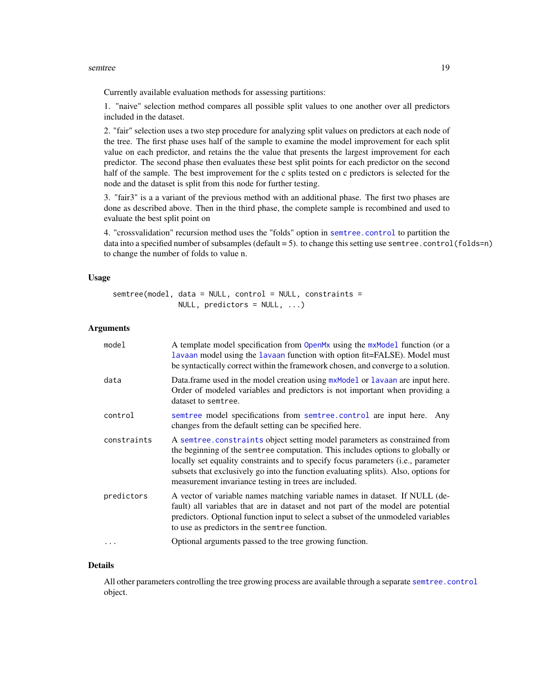#### <span id="page-18-0"></span>semtree the contract of the set of the set of the set of the set of the set of the set of the set of the set of the set of the set of the set of the set of the set of the set of the set of the set of the set of the set of

Currently available evaluation methods for assessing partitions:

1. "naive" selection method compares all possible split values to one another over all predictors included in the dataset.

2. "fair" selection uses a two step procedure for analyzing split values on predictors at each node of the tree. The first phase uses half of the sample to examine the model improvement for each split value on each predictor, and retains the the value that presents the largest improvement for each predictor. The second phase then evaluates these best split points for each predictor on the second half of the sample. The best improvement for the c splits tested on c predictors is selected for the node and the dataset is split from this node for further testing.

3. "fair3" is a a variant of the previous method with an additional phase. The first two phases are done as described above. Then in the third phase, the complete sample is recombined and used to evaluate the best split point on

4. "crossvalidation" recursion method uses the "folds" option in [semtree.control](#page-20-1) to partition the data into a specified number of subsamples (default = 5). to change this setting use semtree.control(folds=n) to change the number of folds to value n.

#### Usage

```
semtree(model, data = NULL, control = NULL, constraints =
              NULL, predictors = NULL, ...)
```
#### Arguments

| model       | A template model specification from OpenMx using the mxModel function (or a<br>lavaan model using the lavaan function with option fit=FALSE). Model must<br>be syntactically correct within the framework chosen, and converge to a solution.                                                                                                                                                    |
|-------------|--------------------------------------------------------------------------------------------------------------------------------------------------------------------------------------------------------------------------------------------------------------------------------------------------------------------------------------------------------------------------------------------------|
| data        | Data.frame used in the model creation using mxModel or lavaan are input here.<br>Order of modeled variables and predictors is not important when providing a<br>dataset to semtree.                                                                                                                                                                                                              |
| control     | semtree model specifications from semtree.control are input here. Any<br>changes from the default setting can be specified here.                                                                                                                                                                                                                                                                 |
| constraints | A semtree constraints object setting model parameters as constrained from<br>the beginning of the semtree computation. This includes options to globally or<br>locally set equality constraints and to specify focus parameters (i.e., parameter<br>subsets that exclusively go into the function evaluating splits). Also, options for<br>measurement invariance testing in trees are included. |
| predictors  | A vector of variable names matching variable names in dataset. If NULL (de-<br>fault) all variables that are in dataset and not part of the model are potential<br>predictors. Optional function input to select a subset of the unmodeled variables<br>to use as predictors in the semtree function.                                                                                            |
| $\cdots$    | Optional arguments passed to the tree growing function.                                                                                                                                                                                                                                                                                                                                          |

#### Details

All other parameters controlling the tree growing process are available through a separate [semtree.control](#page-20-1) object.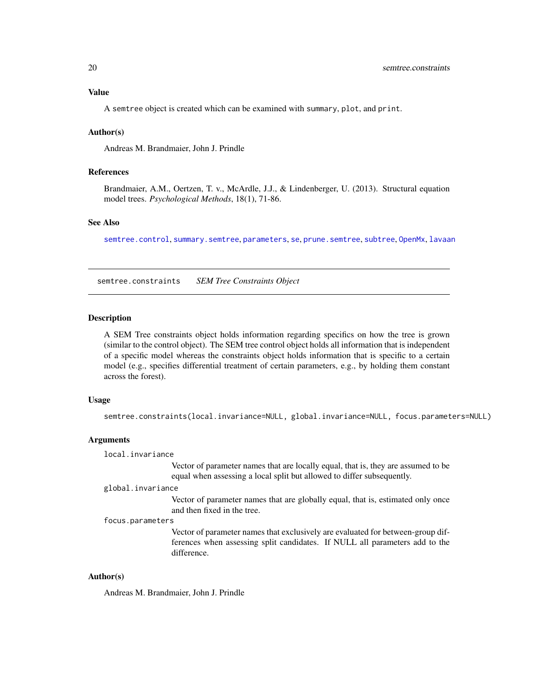## <span id="page-19-0"></span>Value

A semtree object is created which can be examined with summary, plot, and print.

#### Author(s)

Andreas M. Brandmaier, John J. Prindle

## References

Brandmaier, A.M., Oertzen, T. v., McArdle, J.J., & Lindenberger, U. (2013). Structural equation model trees. *Psychological Methods*, 18(1), 71-86.

## See Also

[semtree.control](#page-20-1), [summary.semtree](#page-17-2), [parameters](#page-11-1), [se](#page-15-1), [prune.semtree](#page-14-1), [subtree](#page-22-1), [OpenMx](#page-0-0), [lavaan](#page-0-0)

<span id="page-19-1"></span>semtree.constraints *SEM Tree Constraints Object*

## Description

A SEM Tree constraints object holds information regarding specifics on how the tree is grown (similar to the control object). The SEM tree control object holds all information that is independent of a specific model whereas the constraints object holds information that is specific to a certain model (e.g., specifies differential treatment of certain parameters, e.g., by holding them constant across the forest).

#### Usage

```
semtree.constraints(local.invariance=NULL, global.invariance=NULL, focus.parameters=NULL)
```
#### Arguments

local.invariance

Vector of parameter names that are locally equal, that is, they are assumed to be equal when assessing a local split but allowed to differ subsequently.

#### global.invariance

Vector of parameter names that are globally equal, that is, estimated only once and then fixed in the tree.

#### focus.parameters

Vector of parameter names that exclusively are evaluated for between-group differences when assessing split candidates. If NULL all parameters add to the difference.

#### Author(s)

Andreas M. Brandmaier, John J. Prindle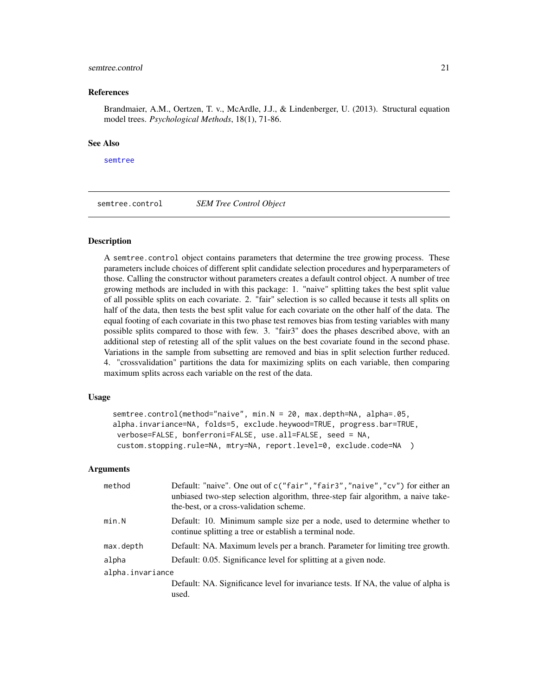#### <span id="page-20-0"></span>semtree.control 21

#### References

Brandmaier, A.M., Oertzen, T. v., McArdle, J.J., & Lindenberger, U. (2013). Structural equation model trees. *Psychological Methods*, 18(1), 71-86.

#### See Also

[semtree](#page-17-1)

<span id="page-20-1"></span>semtree.control *SEM Tree Control Object*

#### Description

A semtree.control object contains parameters that determine the tree growing process. These parameters include choices of different split candidate selection procedures and hyperparameters of those. Calling the constructor without parameters creates a default control object. A number of tree growing methods are included in with this package: 1. "naive" splitting takes the best split value of all possible splits on each covariate. 2. "fair" selection is so called because it tests all splits on half of the data, then tests the best split value for each covariate on the other half of the data. The equal footing of each covariate in this two phase test removes bias from testing variables with many possible splits compared to those with few. 3. "fair3" does the phases described above, with an additional step of retesting all of the split values on the best covariate found in the second phase. Variations in the sample from subsetting are removed and bias in split selection further reduced. 4. "crossvalidation" partitions the data for maximizing splits on each variable, then comparing maximum splits across each variable on the rest of the data.

#### Usage

```
semtree.control(method="naive", min.N = 20, max.depth=NA, alpha=.05,
alpha.invariance=NA, folds=5, exclude.heywood=TRUE, progress.bar=TRUE,
verbose=FALSE, bonferroni=FALSE, use.all=FALSE, seed = NA,
custom.stopping.rule=NA, mtry=NA, report.level=0, exclude.code=NA )
```

| method           | Default: "naive". One out of c("fair", "fair3", "naive", "cv") for either an<br>unbiased two-step selection algorithm, three-step fair algorithm, a naive take-<br>the-best, or a cross-validation scheme. |  |
|------------------|------------------------------------------------------------------------------------------------------------------------------------------------------------------------------------------------------------|--|
| min.N            | Default: 10. Minimum sample size per a node, used to determine whether to<br>continue splitting a tree or establish a terminal node.                                                                       |  |
| max.depth        | Default: NA. Maximum levels per a branch. Parameter for limiting tree growth.                                                                                                                              |  |
| alpha            | Default: 0.05. Significance level for splitting at a given node.                                                                                                                                           |  |
| alpha.invariance |                                                                                                                                                                                                            |  |
|                  | Default: NA. Significance level for invariance tests. If NA, the value of alpha is<br>used.                                                                                                                |  |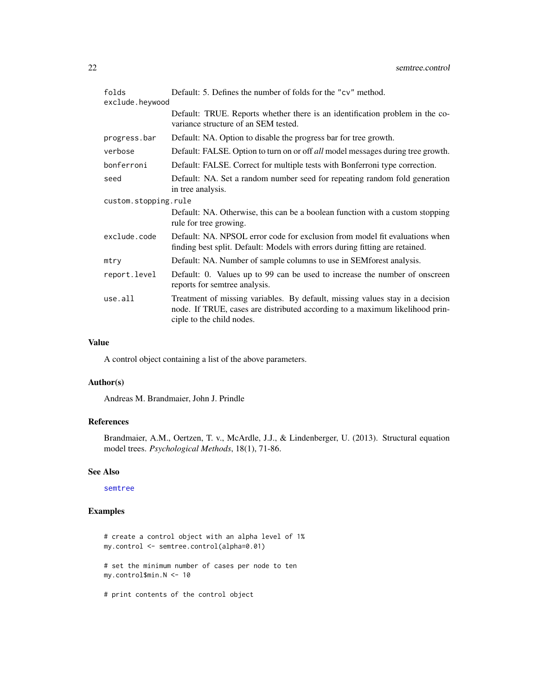| folds<br>exclude.heywood | Default: 5. Defines the number of folds for the "cv" method.                                                                                                                               |
|--------------------------|--------------------------------------------------------------------------------------------------------------------------------------------------------------------------------------------|
|                          | Default: TRUE. Reports whether there is an identification problem in the co-<br>variance structure of an SEM tested.                                                                       |
| progress.bar             | Default: NA. Option to disable the progress bar for tree growth.                                                                                                                           |
| verbose                  | Default: FALSE. Option to turn on or off <i>all</i> model messages during tree growth.                                                                                                     |
| bonferroni               | Default: FALSE. Correct for multiple tests with Bonferroni type correction.                                                                                                                |
| seed                     | Default: NA. Set a random number seed for repeating random fold generation<br>in tree analysis.                                                                                            |
| custom.stopping.rule     |                                                                                                                                                                                            |
|                          | Default: NA. Otherwise, this can be a boolean function with a custom stopping<br>rule for tree growing.                                                                                    |
| exclude.code             | Default: NA. NPSOL error code for exclusion from model fit evaluations when<br>finding best split. Default: Models with errors during fitting are retained.                                |
| mtry                     | Default: NA. Number of sample columns to use in SEMforest analysis.                                                                                                                        |
| report.level             | Default: 0. Values up to 99 can be used to increase the number of onscreen<br>reports for semtree analysis.                                                                                |
| use.all                  | Treatment of missing variables. By default, missing values stay in a decision<br>node. If TRUE, cases are distributed according to a maximum likelihood prin-<br>ciple to the child nodes. |

## Value

A control object containing a list of the above parameters.

## Author(s)

Andreas M. Brandmaier, John J. Prindle

## References

Brandmaier, A.M., Oertzen, T. v., McArdle, J.J., & Lindenberger, U. (2013). Structural equation model trees. *Psychological Methods*, 18(1), 71-86.

#### See Also

#### [semtree](#page-17-1)

## Examples

# create a control object with an alpha level of 1% my.control <- semtree.control(alpha=0.01)

# set the minimum number of cases per node to ten my.control\$min.N <- 10

# print contents of the control object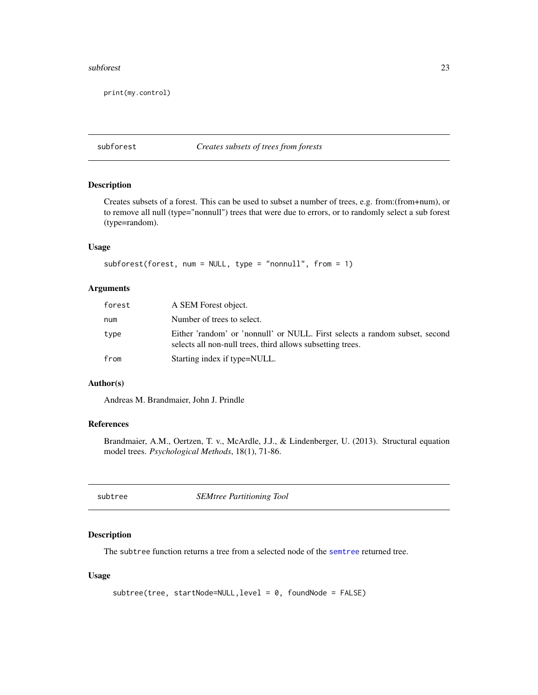#### <span id="page-22-0"></span>subforest 23

print(my.control)

## subforest *Creates subsets of trees from forests*

#### Description

Creates subsets of a forest. This can be used to subset a number of trees, e.g. from:(from+num), or to remove all null (type="nonnull") trees that were due to errors, or to randomly select a sub forest (type=random).

## Usage

```
subforest(forest, num = NULL, type = "nonnull", from = 1)
```
#### Arguments

| forest | A SEM Forest object.                                                                                                                      |
|--------|-------------------------------------------------------------------------------------------------------------------------------------------|
| num    | Number of trees to select.                                                                                                                |
| type   | Either 'random' or 'nonnull' or NULL. First selects a random subset, second<br>selects all non-null trees, third allows subsetting trees. |
| from   | Starting index if type=NULL.                                                                                                              |

## Author(s)

Andreas M. Brandmaier, John J. Prindle

## References

Brandmaier, A.M., Oertzen, T. v., McArdle, J.J., & Lindenberger, U. (2013). Structural equation model trees. *Psychological Methods*, 18(1), 71-86.

<span id="page-22-1"></span>

| subtree |
|---------|
|---------|

 $SEM$ *tree Partitioning Tool* 

## Description

The subtree function returns a tree from a selected node of the [semtree](#page-17-1) returned tree.

## Usage

```
subtree(tree, startNode=NULL,level = 0, foundNode = FALSE)
```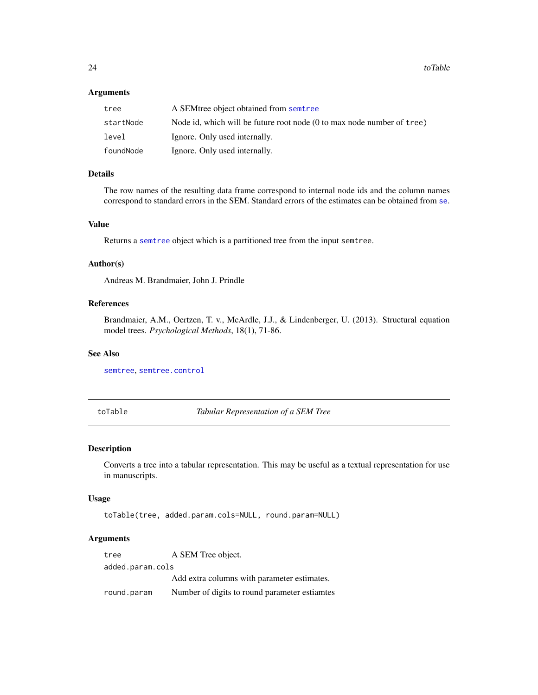## <span id="page-23-0"></span>Arguments

| tree      | A SEM tree object obtained from semptree                                         |
|-----------|----------------------------------------------------------------------------------|
| startNode | Node id, which will be future root node $(0 \text{ to max node number of tree})$ |
| level     | Ignore. Only used internally.                                                    |
| foundNode | Ignore. Only used internally.                                                    |

## Details

The row names of the resulting data frame correspond to internal node ids and the column names correspond to standard errors in the SEM. Standard errors of the estimates can be obtained from [se](#page-15-1).

#### Value

Returns a [semtree](#page-17-1) object which is a partitioned tree from the input semtree.

#### Author(s)

Andreas M. Brandmaier, John J. Prindle

## References

Brandmaier, A.M., Oertzen, T. v., McArdle, J.J., & Lindenberger, U. (2013). Structural equation model trees. *Psychological Methods*, 18(1), 71-86.

#### See Also

[semtree](#page-17-1), [semtree.control](#page-20-1)

toTable *Tabular Representation of a SEM Tree*

## Description

Converts a tree into a tabular representation. This may be useful as a textual representation for use in manuscripts.

#### Usage

toTable(tree, added.param.cols=NULL, round.param=NULL)

| tree             | A SEM Tree object.                            |  |  |
|------------------|-----------------------------------------------|--|--|
| added.param.cols |                                               |  |  |
|                  | Add extra columns with parameter estimates.   |  |  |
| round.param      | Number of digits to round parameter estiamtes |  |  |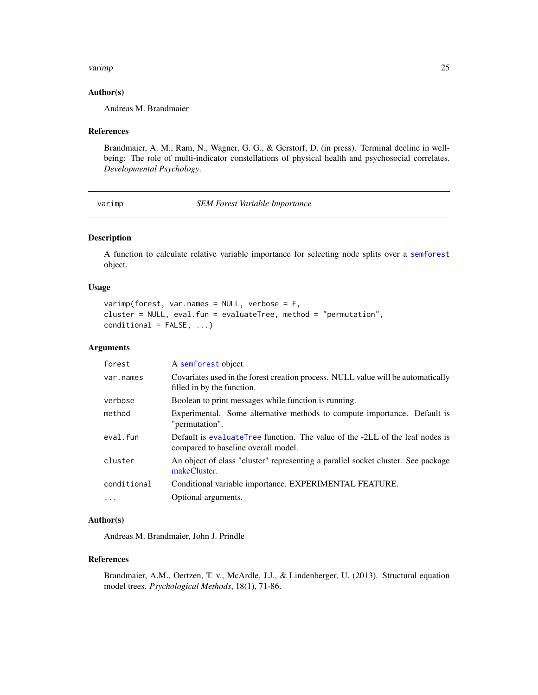#### <span id="page-24-0"></span>varimp 25

#### Author(s)

Andreas M. Brandmaier

#### References

Brandmaier, A. M., Ram, N., Wagner, G. G., & Gerstorf, D. (in press). Terminal decline in wellbeing: The role of multi-indicator constellations of physical health and psychosocial correlates. *Developmental Psychology*.

<span id="page-24-1"></span>varimp *SEM Forest Variable Importance*

## Description

A function to calculate relative variable importance for selecting node splits over a [semforest](#page-16-1) object.

#### Usage

```
varimp(forest, var.names = NULL, verbose = F,
cluster = NULL, eval.fun = evaluateTree, method = "permutation",
conditional = FALSE, ...)
```
## Arguments

| forest      | A semforest object                                                                                                  |
|-------------|---------------------------------------------------------------------------------------------------------------------|
| var.names   | Covariates used in the forest creation process. NULL value will be automatically<br>filled in by the function.      |
| verbose     | Boolean to print messages while function is running.                                                                |
| method      | Experimental. Some alternative methods to compute importance. Default is<br>"permutation".                          |
| eval.fun    | Default is evaluateTree function. The value of the -2LL of the leaf nodes is<br>compared to baseline overall model. |
| cluster     | An object of class "cluster" representing a parallel socket cluster. See package<br>makeCluster.                    |
| conditional | Conditional variable importance. EXPERIMENTAL FEATURE.                                                              |
| $\cdots$    | Optional arguments.                                                                                                 |

### Author(s)

Andreas M. Brandmaier, John J. Prindle

#### References

Brandmaier, A.M., Oertzen, T. v., McArdle, J.J., & Lindenberger, U. (2013). Structural equation model trees. *Psychological Methods*, 18(1), 71-86.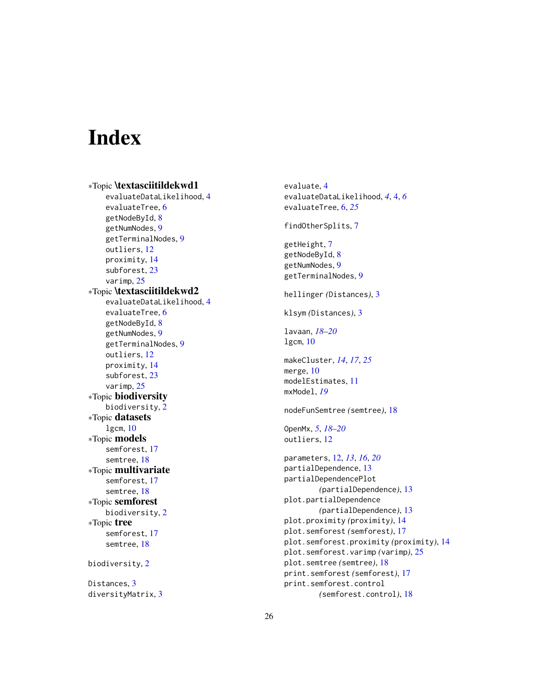# <span id="page-25-0"></span>**Index**

∗Topic \textasciitildekwd1 evaluateDataLikelihood, [4](#page-3-0) evaluateTree, [6](#page-5-0) getNodeById, [8](#page-7-0) getNumNodes, [9](#page-8-0) getTerminalNodes, [9](#page-8-0) outliers, [12](#page-11-0) proximity, [14](#page-13-0) subforest, [23](#page-22-0) varimp, [25](#page-24-0) ∗Topic \textasciitildekwd2 evaluateDataLikelihood, [4](#page-3-0) evaluateTree, [6](#page-5-0) getNodeById, [8](#page-7-0) getNumNodes, [9](#page-8-0) getTerminalNodes, [9](#page-8-0) outliers, [12](#page-11-0) proximity, [14](#page-13-0) subforest, [23](#page-22-0) varimp, [25](#page-24-0) ∗Topic biodiversity biodiversity, [2](#page-1-0) ∗Topic datasets lgcm, [10](#page-9-0) ∗Topic models semforest, [17](#page-16-0) semtree, [18](#page-17-0) ∗Topic multivariate semforest, [17](#page-16-0) semtree, [18](#page-17-0) ∗Topic semforest biodiversity, [2](#page-1-0) ∗Topic tree semforest, [17](#page-16-0) semtree, [18](#page-17-0) biodiversity, [2](#page-1-0) Distances, [3](#page-2-0)

diversityMatrix, [3](#page-2-0)

evaluate, [4](#page-3-0) evaluateDataLikelihood, *[4](#page-3-0)*, [4,](#page-3-0) *[6](#page-5-0)* evaluateTree, [6,](#page-5-0) *[25](#page-24-0)* findOtherSplits, [7](#page-6-0) getHeight, [7](#page-6-0) getNodeById, [8](#page-7-0) getNumNodes, [9](#page-8-0) getTerminalNodes, [9](#page-8-0) hellinger *(*Distances*)*, [3](#page-2-0) klsym *(*Distances*)*, [3](#page-2-0) lavaan, *[18](#page-17-0)[–20](#page-19-0)* lgcm, [10](#page-9-0) makeCluster, *[14](#page-13-0)*, *[17](#page-16-0)*, *[25](#page-24-0)* merge, [10](#page-9-0) modelEstimates, [11](#page-10-0) mxModel, *[19](#page-18-0)* nodeFunSemtree *(*semtree*)*, [18](#page-17-0) OpenMx, *[5](#page-4-0)*, *[18](#page-17-0)[–20](#page-19-0)* outliers, [12](#page-11-0) parameters, [12,](#page-11-0) *[13](#page-12-0)*, *[16](#page-15-0)*, *[20](#page-19-0)* partialDependence, [13](#page-12-0) partialDependencePlot *(*partialDependence*)*, [13](#page-12-0) plot.partialDependence *(*partialDependence*)*, [13](#page-12-0) plot.proximity *(*proximity*)*, [14](#page-13-0) plot.semforest *(*semforest*)*, [17](#page-16-0) plot.semforest.proximity *(*proximity*)*, [14](#page-13-0) plot.semforest.varimp *(*varimp*)*, [25](#page-24-0) plot.semtree *(*semtree*)*, [18](#page-17-0) print.semforest *(*semforest*)*, [17](#page-16-0) print.semforest.control *(*semforest.control*)*, [18](#page-17-0)